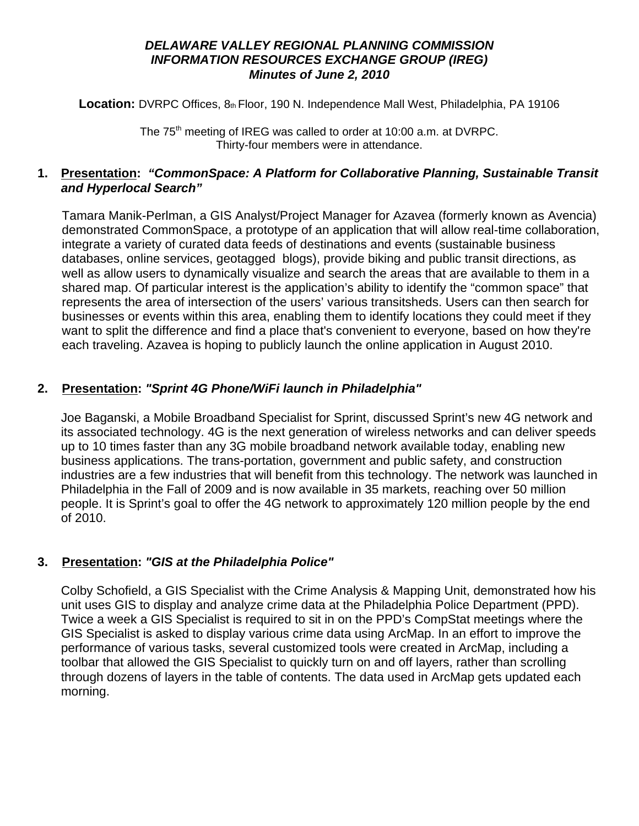### *DELAWARE VALLEY REGIONAL PLANNING COMMISSION INFORMATION RESOURCES EXCHANGE GROUP (IREG) Minutes of June 2, 2010*

Location: DVRPC Offices, 8th Floor, 190 N. Independence Mall West, Philadelphia, PA 19106

The 75<sup>th</sup> meeting of IREG was called to order at 10:00 a.m. at DVRPC. Thirty-four members were in attendance.

## **1. Presentation:** *"CommonSpace: A Platform for Collaborative Planning, Sustainable Transit and Hyperlocal Search"*

Tamara Manik-Perlman, a GIS Analyst/Project Manager for Azavea (formerly known as Avencia) demonstrated CommonSpace, a prototype of an application that will allow real-time collaboration, integrate a variety of curated data feeds of destinations and events (sustainable business databases, online services, geotagged blogs), provide biking and public transit directions, as well as allow users to dynamically visualize and search the areas that are available to them in a shared map. Of particular interest is the application's ability to identify the "common space" that represents the area of intersection of the users' various transitsheds. Users can then search for businesses or events within this area, enabling them to identify locations they could meet if they want to split the difference and find a place that's convenient to everyone, based on how they're each traveling. Azavea is hoping to publicly launch the online application in August 2010.

# **2. Presentation:** *"Sprint 4G Phone/WiFi launch in Philadelphia"*

Joe Baganski, a Mobile Broadband Specialist for Sprint, discussed Sprint's new 4G network and its associated technology. 4G is the next generation of wireless networks and can deliver speeds up to 10 times faster than any 3G mobile broadband network available today, enabling new business applications. The trans-portation, government and public safety, and construction industries are a few industries that will benefit from this technology. The network was launched in Philadelphia in the Fall of 2009 and is now available in 35 markets, reaching over 50 million people. It is Sprint's goal to offer the 4G network to approximately 120 million people by the end of 2010.

### **3. Presentation:** *"GIS at the Philadelphia Police"*

Colby Schofield, a GIS Specialist with the Crime Analysis & Mapping Unit, demonstrated how his unit uses GIS to display and analyze crime data at the Philadelphia Police Department (PPD). Twice a week a GIS Specialist is required to sit in on the PPD's CompStat meetings where the GIS Specialist is asked to display various crime data using ArcMap. In an effort to improve the performance of various tasks, several customized tools were created in ArcMap, including a toolbar that allowed the GIS Specialist to quickly turn on and off layers, rather than scrolling through dozens of layers in the table of contents. The data used in ArcMap gets updated each morning.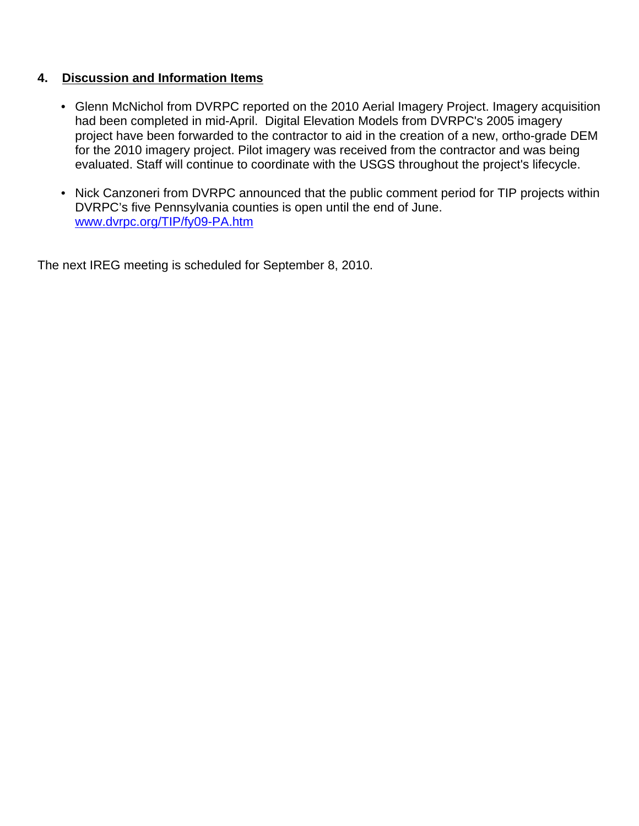### **4. Discussion and Information Items**

- Glenn McNichol from DVRPC reported on the 2010 Aerial Imagery Project. Imagery acquisition had been completed in mid-April. Digital Elevation Models from DVRPC's 2005 imagery project have been forwarded to the contractor to aid in the creation of a new, ortho-grade DEM for the 2010 imagery project. Pilot imagery was received from the contractor and was being evaluated. Staff will continue to coordinate with the USGS throughout the project's lifecycle.
- Nick Canzoneri from DVRPC announced that the public comment period for TIP projects within DVRPC's five Pennsylvania counties is open until the end of June. www.dvrpc.org/TIP/fy09-PA.htm

The next IREG meeting is scheduled for September 8, 2010.